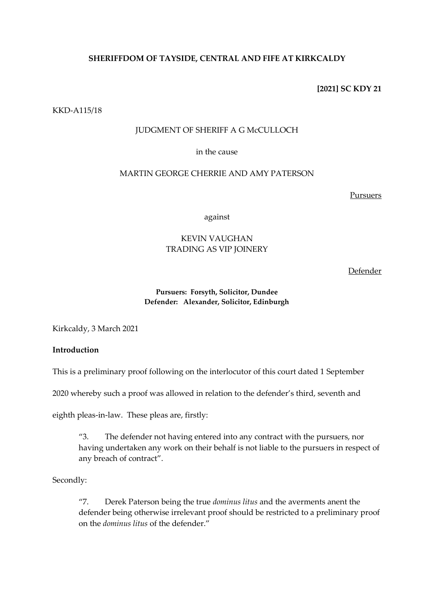# **SHERIFFDOM OF TAYSIDE, CENTRAL AND FIFE AT KIRKCALDY**

## **[2021] SC KDY 21**

#### KKD-A115/18

#### JUDGMENT OF SHERIFF A G McCULLOCH

## in the cause

## MARTIN GEORGE CHERRIE AND AMY PATERSON

Pursuers

against

# KEVIN VAUGHAN TRADING AS VIP JOINERY

Defender

#### **Pursuers: Forsyth, Solicitor, Dundee Defender: Alexander, Solicitor, Edinburgh**

Kirkcaldy, 3 March 2021

## **Introduction**

This is a preliminary proof following on the interlocutor of this court dated 1 September

2020 whereby such a proof was allowed in relation to the defender's third, seventh and

eighth pleas-in-law. These pleas are, firstly:

"3. The defender not having entered into any contract with the pursuers, nor having undertaken any work on their behalf is not liable to the pursuers in respect of any breach of contract".

Secondly:

"7. Derek Paterson being the true *dominus litus* and the averments anent the defender being otherwise irrelevant proof should be restricted to a preliminary proof on the *dominus litus* of the defender."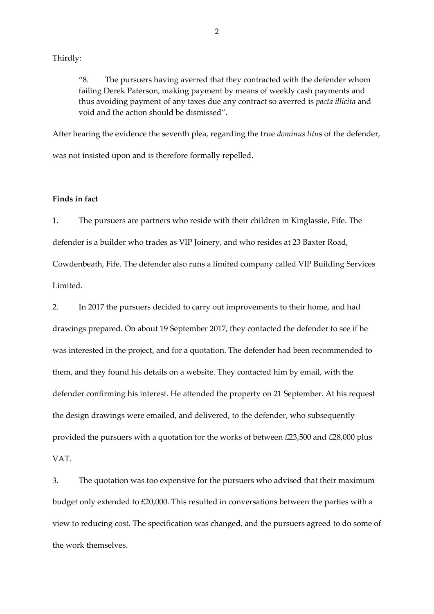Thirdly:

"8. The pursuers having averred that they contracted with the defender whom failing Derek Paterson, making payment by means of weekly cash payments and thus avoiding payment of any taxes due any contract so averred is *pacta illicita* and void and the action should be dismissed".

After hearing the evidence the seventh plea, regarding the true *dominus litu*s of the defender, was not insisted upon and is therefore formally repelled.

## **Finds in fact**

1. The pursuers are partners who reside with their children in Kinglassie, Fife. The defender is a builder who trades as VIP Joinery, and who resides at 23 Baxter Road, Cowdenbeath, Fife. The defender also runs a limited company called VIP Building Services Limited.

2. In 2017 the pursuers decided to carry out improvements to their home, and had drawings prepared. On about 19 September 2017, they contacted the defender to see if he was interested in the project, and for a quotation. The defender had been recommended to them, and they found his details on a website. They contacted him by email, with the defender confirming his interest. He attended the property on 21 September. At his request the design drawings were emailed, and delivered, to the defender, who subsequently provided the pursuers with a quotation for the works of between £23,500 and £28,000 plus VAT.

3. The quotation was too expensive for the pursuers who advised that their maximum budget only extended to £20,000. This resulted in conversations between the parties with a view to reducing cost. The specification was changed, and the pursuers agreed to do some of the work themselves.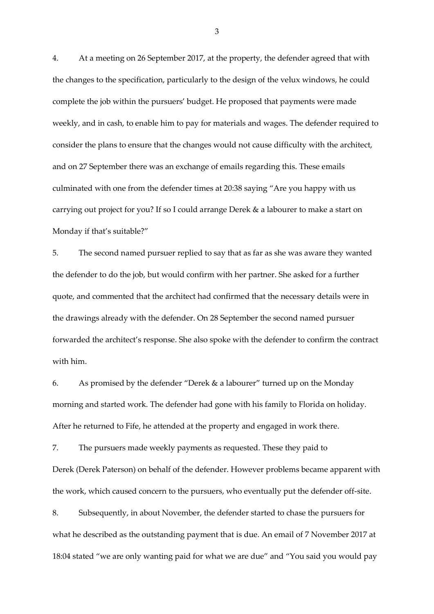4. At a meeting on 26 September 2017, at the property, the defender agreed that with the changes to the specification, particularly to the design of the velux windows, he could complete the job within the pursuers' budget. He proposed that payments were made weekly, and in cash, to enable him to pay for materials and wages. The defender required to consider the plans to ensure that the changes would not cause difficulty with the architect, and on 27 September there was an exchange of emails regarding this. These emails culminated with one from the defender times at 20:38 saying "Are you happy with us carrying out project for you? If so I could arrange Derek & a labourer to make a start on Monday if that's suitable?"

5. The second named pursuer replied to say that as far as she was aware they wanted the defender to do the job, but would confirm with her partner. She asked for a further quote, and commented that the architect had confirmed that the necessary details were in the drawings already with the defender. On 28 September the second named pursuer forwarded the architect's response. She also spoke with the defender to confirm the contract with him.

6. As promised by the defender "Derek & a labourer" turned up on the Monday morning and started work. The defender had gone with his family to Florida on holiday. After he returned to Fife, he attended at the property and engaged in work there.

7. The pursuers made weekly payments as requested. These they paid to Derek (Derek Paterson) on behalf of the defender. However problems became apparent with the work, which caused concern to the pursuers, who eventually put the defender off-site.

8. Subsequently, in about November, the defender started to chase the pursuers for what he described as the outstanding payment that is due. An email of 7 November 2017 at 18:04 stated "we are only wanting paid for what we are due" and "You said you would pay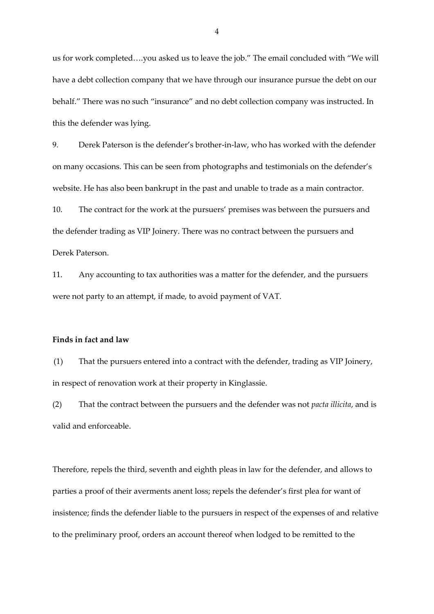us for work completed….you asked us to leave the job." The email concluded with "We will have a debt collection company that we have through our insurance pursue the debt on our behalf." There was no such "insurance" and no debt collection company was instructed. In this the defender was lying.

9. Derek Paterson is the defender's brother-in-law, who has worked with the defender on many occasions. This can be seen from photographs and testimonials on the defender's website. He has also been bankrupt in the past and unable to trade as a main contractor.

10. The contract for the work at the pursuers' premises was between the pursuers and the defender trading as VIP Joinery. There was no contract between the pursuers and Derek Paterson.

11. Any accounting to tax authorities was a matter for the defender, and the pursuers were not party to an attempt, if made, to avoid payment of VAT.

#### **Finds in fact and law**

(1) That the pursuers entered into a contract with the defender, trading as VIP Joinery, in respect of renovation work at their property in Kinglassie.

(2) That the contract between the pursuers and the defender was not *pacta illicita*, and is valid and enforceable.

Therefore, repels the third, seventh and eighth pleas in law for the defender, and allows to parties a proof of their averments anent loss; repels the defender's first plea for want of insistence; finds the defender liable to the pursuers in respect of the expenses of and relative to the preliminary proof, orders an account thereof when lodged to be remitted to the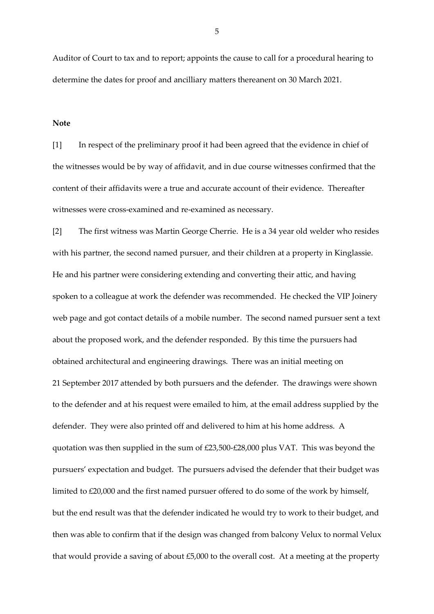Auditor of Court to tax and to report; appoints the cause to call for a procedural hearing to determine the dates for proof and ancilliary matters thereanent on 30 March 2021.

**Note**

[1] In respect of the preliminary proof it had been agreed that the evidence in chief of the witnesses would be by way of affidavit, and in due course witnesses confirmed that the content of their affidavits were a true and accurate account of their evidence. Thereafter witnesses were cross-examined and re-examined as necessary.

[2] The first witness was Martin George Cherrie. He is a 34 year old welder who resides with his partner, the second named pursuer, and their children at a property in Kinglassie. He and his partner were considering extending and converting their attic, and having spoken to a colleague at work the defender was recommended. He checked the VIP Joinery web page and got contact details of a mobile number. The second named pursuer sent a text about the proposed work, and the defender responded. By this time the pursuers had obtained architectural and engineering drawings. There was an initial meeting on 21 September 2017 attended by both pursuers and the defender. The drawings were shown to the defender and at his request were emailed to him, at the email address supplied by the defender. They were also printed off and delivered to him at his home address. A quotation was then supplied in the sum of £23,500-£28,000 plus VAT. This was beyond the pursuers' expectation and budget. The pursuers advised the defender that their budget was limited to £20,000 and the first named pursuer offered to do some of the work by himself, but the end result was that the defender indicated he would try to work to their budget, and then was able to confirm that if the design was changed from balcony Velux to normal Velux that would provide a saving of about £5,000 to the overall cost. At a meeting at the property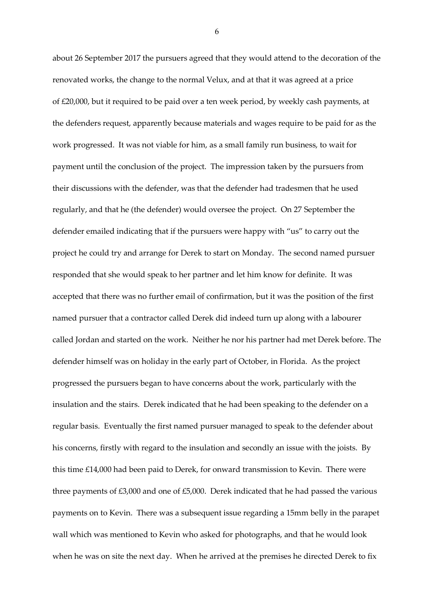about 26 September 2017 the pursuers agreed that they would attend to the decoration of the renovated works, the change to the normal Velux, and at that it was agreed at a price of £20,000, but it required to be paid over a ten week period, by weekly cash payments, at the defenders request, apparently because materials and wages require to be paid for as the work progressed. It was not viable for him, as a small family run business, to wait for payment until the conclusion of the project. The impression taken by the pursuers from their discussions with the defender, was that the defender had tradesmen that he used regularly, and that he (the defender) would oversee the project. On 27 September the defender emailed indicating that if the pursuers were happy with "us" to carry out the project he could try and arrange for Derek to start on Monday. The second named pursuer responded that she would speak to her partner and let him know for definite. It was accepted that there was no further email of confirmation, but it was the position of the first named pursuer that a contractor called Derek did indeed turn up along with a labourer called Jordan and started on the work. Neither he nor his partner had met Derek before. The defender himself was on holiday in the early part of October, in Florida. As the project progressed the pursuers began to have concerns about the work, particularly with the insulation and the stairs. Derek indicated that he had been speaking to the defender on a regular basis. Eventually the first named pursuer managed to speak to the defender about his concerns, firstly with regard to the insulation and secondly an issue with the joists. By this time £14,000 had been paid to Derek, for onward transmission to Kevin. There were three payments of £3,000 and one of £5,000. Derek indicated that he had passed the various payments on to Kevin. There was a subsequent issue regarding a 15mm belly in the parapet wall which was mentioned to Kevin who asked for photographs, and that he would look when he was on site the next day. When he arrived at the premises he directed Derek to fix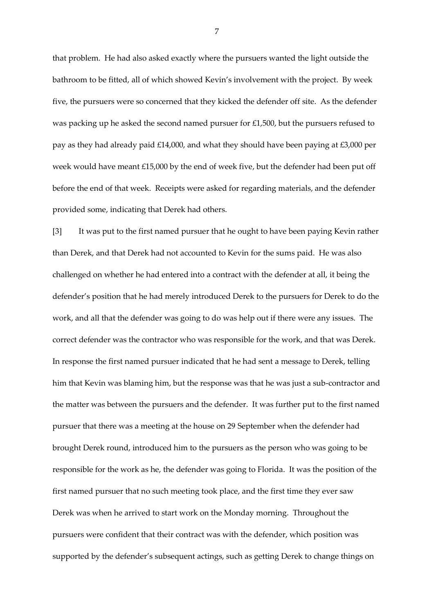that problem. He had also asked exactly where the pursuers wanted the light outside the bathroom to be fitted, all of which showed Kevin's involvement with the project. By week five, the pursuers were so concerned that they kicked the defender off site. As the defender was packing up he asked the second named pursuer for £1,500, but the pursuers refused to pay as they had already paid £14,000, and what they should have been paying at £3,000 per week would have meant £15,000 by the end of week five, but the defender had been put off before the end of that week. Receipts were asked for regarding materials, and the defender provided some, indicating that Derek had others.

[3] It was put to the first named pursuer that he ought to have been paying Kevin rather than Derek, and that Derek had not accounted to Kevin for the sums paid. He was also challenged on whether he had entered into a contract with the defender at all, it being the defender's position that he had merely introduced Derek to the pursuers for Derek to do the work, and all that the defender was going to do was help out if there were any issues. The correct defender was the contractor who was responsible for the work, and that was Derek. In response the first named pursuer indicated that he had sent a message to Derek, telling him that Kevin was blaming him, but the response was that he was just a sub-contractor and the matter was between the pursuers and the defender. It was further put to the first named pursuer that there was a meeting at the house on 29 September when the defender had brought Derek round, introduced him to the pursuers as the person who was going to be responsible for the work as he, the defender was going to Florida. It was the position of the first named pursuer that no such meeting took place, and the first time they ever saw Derek was when he arrived to start work on the Monday morning. Throughout the pursuers were confident that their contract was with the defender, which position was supported by the defender's subsequent actings, such as getting Derek to change things on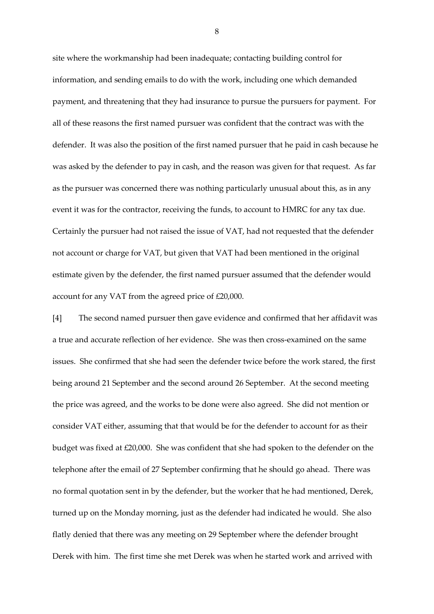site where the workmanship had been inadequate; contacting building control for information, and sending emails to do with the work, including one which demanded payment, and threatening that they had insurance to pursue the pursuers for payment. For all of these reasons the first named pursuer was confident that the contract was with the defender. It was also the position of the first named pursuer that he paid in cash because he was asked by the defender to pay in cash, and the reason was given for that request. As far as the pursuer was concerned there was nothing particularly unusual about this, as in any event it was for the contractor, receiving the funds, to account to HMRC for any tax due. Certainly the pursuer had not raised the issue of VAT, had not requested that the defender not account or charge for VAT, but given that VAT had been mentioned in the original estimate given by the defender, the first named pursuer assumed that the defender would account for any VAT from the agreed price of £20,000.

[4] The second named pursuer then gave evidence and confirmed that her affidavit was a true and accurate reflection of her evidence. She was then cross-examined on the same issues. She confirmed that she had seen the defender twice before the work stared, the first being around 21 September and the second around 26 September. At the second meeting the price was agreed, and the works to be done were also agreed. She did not mention or consider VAT either, assuming that that would be for the defender to account for as their budget was fixed at £20,000. She was confident that she had spoken to the defender on the telephone after the email of 27 September confirming that he should go ahead. There was no formal quotation sent in by the defender, but the worker that he had mentioned, Derek, turned up on the Monday morning, just as the defender had indicated he would. She also flatly denied that there was any meeting on 29 September where the defender brought Derek with him. The first time she met Derek was when he started work and arrived with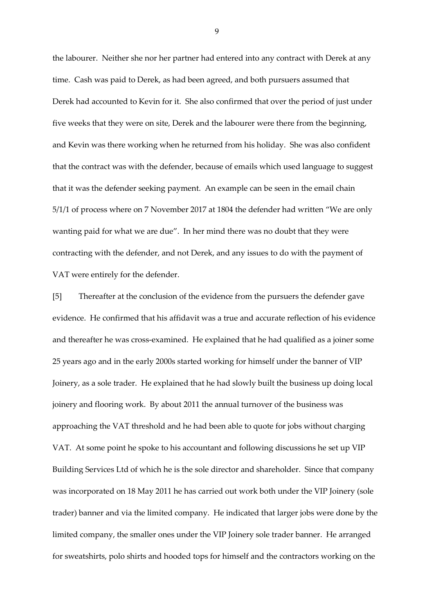the labourer. Neither she nor her partner had entered into any contract with Derek at any time. Cash was paid to Derek, as had been agreed, and both pursuers assumed that Derek had accounted to Kevin for it. She also confirmed that over the period of just under five weeks that they were on site, Derek and the labourer were there from the beginning, and Kevin was there working when he returned from his holiday. She was also confident that the contract was with the defender, because of emails which used language to suggest that it was the defender seeking payment. An example can be seen in the email chain 5/1/1 of process where on 7 November 2017 at 1804 the defender had written "We are only wanting paid for what we are due". In her mind there was no doubt that they were contracting with the defender, and not Derek, and any issues to do with the payment of VAT were entirely for the defender.

[5] Thereafter at the conclusion of the evidence from the pursuers the defender gave evidence. He confirmed that his affidavit was a true and accurate reflection of his evidence and thereafter he was cross-examined. He explained that he had qualified as a joiner some 25 years ago and in the early 2000s started working for himself under the banner of VIP Joinery, as a sole trader. He explained that he had slowly built the business up doing local joinery and flooring work. By about 2011 the annual turnover of the business was approaching the VAT threshold and he had been able to quote for jobs without charging VAT. At some point he spoke to his accountant and following discussions he set up VIP Building Services Ltd of which he is the sole director and shareholder. Since that company was incorporated on 18 May 2011 he has carried out work both under the VIP Joinery (sole trader) banner and via the limited company. He indicated that larger jobs were done by the limited company, the smaller ones under the VIP Joinery sole trader banner. He arranged for sweatshirts, polo shirts and hooded tops for himself and the contractors working on the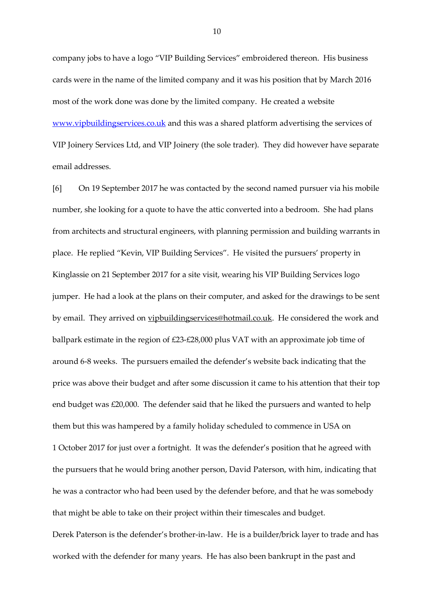company jobs to have a logo "VIP Building Services" embroidered thereon. His business cards were in the name of the limited company and it was his position that by March 2016 most of the work done was done by the limited company. He created a website [www.vipbuildingservices.co.uk](http://www.vipbuildingservices.co.uk/) and this was a shared platform advertising the services of VIP Joinery Services Ltd, and VIP Joinery (the sole trader). They did however have separate email addresses.

[6] On 19 September 2017 he was contacted by the second named pursuer via his mobile number, she looking for a quote to have the attic converted into a bedroom. She had plans from architects and structural engineers, with planning permission and building warrants in place. He replied "Kevin, VIP Building Services". He visited the pursuers' property in Kinglassie on 21 September 2017 for a site visit, wearing his VIP Building Services logo jumper. He had a look at the plans on their computer, and asked for the drawings to be sent by email. They arrived on [vipbuildingservices@hotmail.co.uk.](mailto:vipbuildingservices@hotmail.co.uk) He considered the work and ballpark estimate in the region of £23-£28,000 plus VAT with an approximate job time of around 6-8 weeks. The pursuers emailed the defender's website back indicating that the price was above their budget and after some discussion it came to his attention that their top end budget was £20,000. The defender said that he liked the pursuers and wanted to help them but this was hampered by a family holiday scheduled to commence in USA on 1 October 2017 for just over a fortnight. It was the defender's position that he agreed with the pursuers that he would bring another person, David Paterson, with him, indicating that he was a contractor who had been used by the defender before, and that he was somebody that might be able to take on their project within their timescales and budget. Derek Paterson is the defender's brother-in-law. He is a builder/brick layer to trade and has worked with the defender for many years. He has also been bankrupt in the past and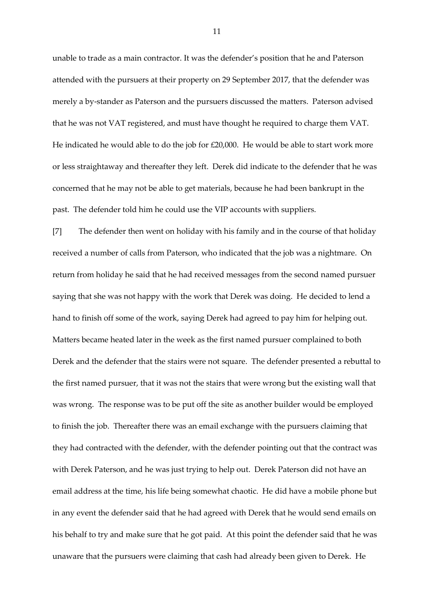unable to trade as a main contractor. It was the defender's position that he and Paterson attended with the pursuers at their property on 29 September 2017, that the defender was merely a by-stander as Paterson and the pursuers discussed the matters. Paterson advised that he was not VAT registered, and must have thought he required to charge them VAT. He indicated he would able to do the job for £20,000. He would be able to start work more or less straightaway and thereafter they left. Derek did indicate to the defender that he was concerned that he may not be able to get materials, because he had been bankrupt in the past. The defender told him he could use the VIP accounts with suppliers.

[7] The defender then went on holiday with his family and in the course of that holiday received a number of calls from Paterson, who indicated that the job was a nightmare. On return from holiday he said that he had received messages from the second named pursuer saying that she was not happy with the work that Derek was doing. He decided to lend a hand to finish off some of the work, saying Derek had agreed to pay him for helping out. Matters became heated later in the week as the first named pursuer complained to both Derek and the defender that the stairs were not square. The defender presented a rebuttal to the first named pursuer, that it was not the stairs that were wrong but the existing wall that was wrong. The response was to be put off the site as another builder would be employed to finish the job. Thereafter there was an email exchange with the pursuers claiming that they had contracted with the defender, with the defender pointing out that the contract was with Derek Paterson, and he was just trying to help out. Derek Paterson did not have an email address at the time, his life being somewhat chaotic. He did have a mobile phone but in any event the defender said that he had agreed with Derek that he would send emails on his behalf to try and make sure that he got paid. At this point the defender said that he was unaware that the pursuers were claiming that cash had already been given to Derek. He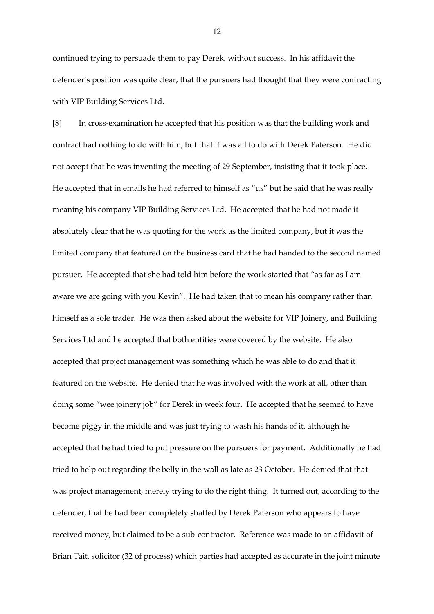continued trying to persuade them to pay Derek, without success. In his affidavit the defender's position was quite clear, that the pursuers had thought that they were contracting with VIP Building Services Ltd.

[8] In cross-examination he accepted that his position was that the building work and contract had nothing to do with him, but that it was all to do with Derek Paterson. He did not accept that he was inventing the meeting of 29 September, insisting that it took place. He accepted that in emails he had referred to himself as "us" but he said that he was really meaning his company VIP Building Services Ltd. He accepted that he had not made it absolutely clear that he was quoting for the work as the limited company, but it was the limited company that featured on the business card that he had handed to the second named pursuer. He accepted that she had told him before the work started that "as far as I am aware we are going with you Kevin". He had taken that to mean his company rather than himself as a sole trader. He was then asked about the website for VIP Joinery, and Building Services Ltd and he accepted that both entities were covered by the website. He also accepted that project management was something which he was able to do and that it featured on the website. He denied that he was involved with the work at all, other than doing some "wee joinery job" for Derek in week four. He accepted that he seemed to have become piggy in the middle and was just trying to wash his hands of it, although he accepted that he had tried to put pressure on the pursuers for payment. Additionally he had tried to help out regarding the belly in the wall as late as 23 October. He denied that that was project management, merely trying to do the right thing. It turned out, according to the defender, that he had been completely shafted by Derek Paterson who appears to have received money, but claimed to be a sub-contractor. Reference was made to an affidavit of Brian Tait, solicitor (32 of process) which parties had accepted as accurate in the joint minute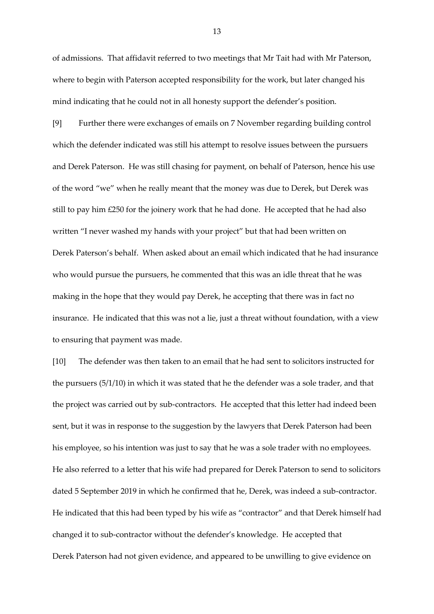of admissions. That affidavit referred to two meetings that Mr Tait had with Mr Paterson, where to begin with Paterson accepted responsibility for the work, but later changed his mind indicating that he could not in all honesty support the defender's position.

[9] Further there were exchanges of emails on 7 November regarding building control which the defender indicated was still his attempt to resolve issues between the pursuers and Derek Paterson. He was still chasing for payment, on behalf of Paterson, hence his use of the word "we" when he really meant that the money was due to Derek, but Derek was still to pay him  $£250$  for the joinery work that he had done. He accepted that he had also written "I never washed my hands with your project" but that had been written on Derek Paterson's behalf. When asked about an email which indicated that he had insurance who would pursue the pursuers, he commented that this was an idle threat that he was making in the hope that they would pay Derek, he accepting that there was in fact no insurance. He indicated that this was not a lie, just a threat without foundation, with a view to ensuring that payment was made.

[10] The defender was then taken to an email that he had sent to solicitors instructed for the pursuers (5/1/10) in which it was stated that he the defender was a sole trader, and that the project was carried out by sub-contractors. He accepted that this letter had indeed been sent, but it was in response to the suggestion by the lawyers that Derek Paterson had been his employee, so his intention was just to say that he was a sole trader with no employees. He also referred to a letter that his wife had prepared for Derek Paterson to send to solicitors dated 5 September 2019 in which he confirmed that he, Derek, was indeed a sub-contractor. He indicated that this had been typed by his wife as "contractor" and that Derek himself had changed it to sub-contractor without the defender's knowledge. He accepted that Derek Paterson had not given evidence, and appeared to be unwilling to give evidence on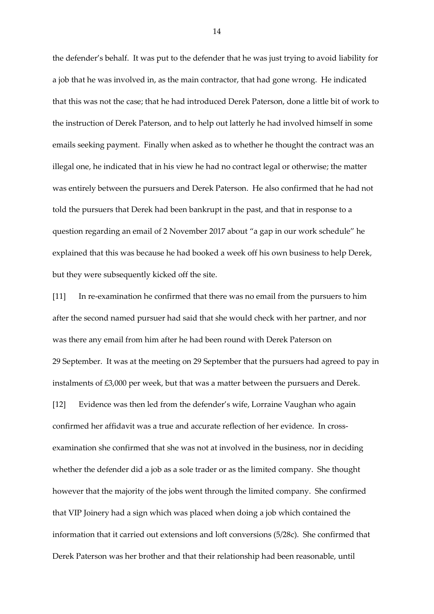the defender's behalf. It was put to the defender that he was just trying to avoid liability for a job that he was involved in, as the main contractor, that had gone wrong. He indicated that this was not the case; that he had introduced Derek Paterson, done a little bit of work to the instruction of Derek Paterson, and to help out latterly he had involved himself in some emails seeking payment. Finally when asked as to whether he thought the contract was an illegal one, he indicated that in his view he had no contract legal or otherwise; the matter was entirely between the pursuers and Derek Paterson. He also confirmed that he had not told the pursuers that Derek had been bankrupt in the past, and that in response to a question regarding an email of 2 November 2017 about "a gap in our work schedule" he explained that this was because he had booked a week off his own business to help Derek, but they were subsequently kicked off the site.

[11] In re-examination he confirmed that there was no email from the pursuers to him after the second named pursuer had said that she would check with her partner, and nor was there any email from him after he had been round with Derek Paterson on 29 September. It was at the meeting on 29 September that the pursuers had agreed to pay in instalments of £3,000 per week, but that was a matter between the pursuers and Derek. [12] Evidence was then led from the defender's wife, Lorraine Vaughan who again confirmed her affidavit was a true and accurate reflection of her evidence. In crossexamination she confirmed that she was not at involved in the business, nor in deciding whether the defender did a job as a sole trader or as the limited company. She thought however that the majority of the jobs went through the limited company. She confirmed that VIP Joinery had a sign which was placed when doing a job which contained the information that it carried out extensions and loft conversions (5/28c). She confirmed that Derek Paterson was her brother and that their relationship had been reasonable, until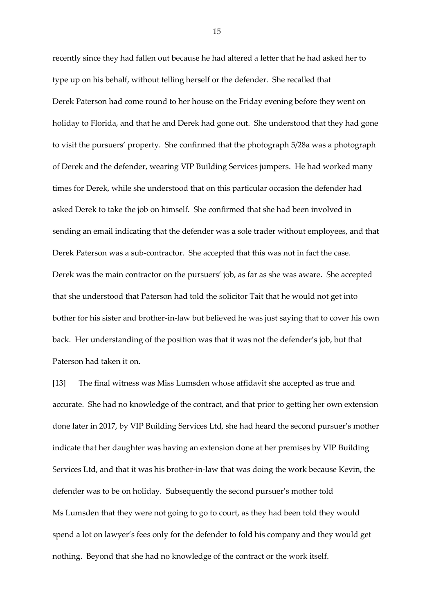recently since they had fallen out because he had altered a letter that he had asked her to type up on his behalf, without telling herself or the defender. She recalled that Derek Paterson had come round to her house on the Friday evening before they went on holiday to Florida, and that he and Derek had gone out. She understood that they had gone to visit the pursuers' property. She confirmed that the photograph 5/28a was a photograph of Derek and the defender, wearing VIP Building Services jumpers. He had worked many times for Derek, while she understood that on this particular occasion the defender had asked Derek to take the job on himself. She confirmed that she had been involved in sending an email indicating that the defender was a sole trader without employees, and that Derek Paterson was a sub-contractor. She accepted that this was not in fact the case. Derek was the main contractor on the pursuers' job, as far as she was aware. She accepted that she understood that Paterson had told the solicitor Tait that he would not get into bother for his sister and brother-in-law but believed he was just saying that to cover his own back. Her understanding of the position was that it was not the defender's job, but that Paterson had taken it on.

[13] The final witness was Miss Lumsden whose affidavit she accepted as true and accurate. She had no knowledge of the contract, and that prior to getting her own extension done later in 2017, by VIP Building Services Ltd, she had heard the second pursuer's mother indicate that her daughter was having an extension done at her premises by VIP Building Services Ltd, and that it was his brother-in-law that was doing the work because Kevin, the defender was to be on holiday. Subsequently the second pursuer's mother told Ms Lumsden that they were not going to go to court, as they had been told they would spend a lot on lawyer's fees only for the defender to fold his company and they would get nothing. Beyond that she had no knowledge of the contract or the work itself.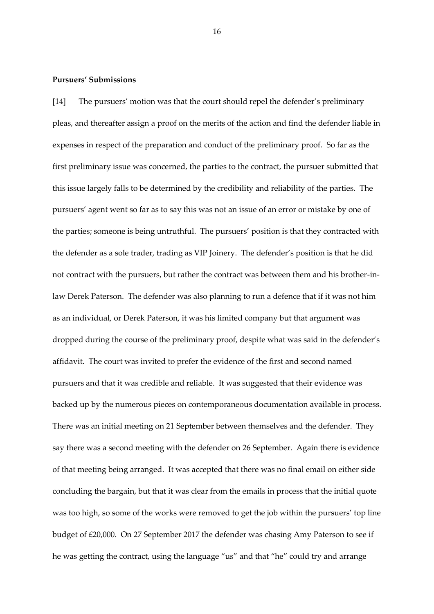#### **Pursuers' Submissions**

[14] The pursuers' motion was that the court should repel the defender's preliminary pleas, and thereafter assign a proof on the merits of the action and find the defender liable in expenses in respect of the preparation and conduct of the preliminary proof. So far as the first preliminary issue was concerned, the parties to the contract, the pursuer submitted that this issue largely falls to be determined by the credibility and reliability of the parties. The pursuers' agent went so far as to say this was not an issue of an error or mistake by one of the parties; someone is being untruthful. The pursuers' position is that they contracted with the defender as a sole trader, trading as VIP Joinery. The defender's position is that he did not contract with the pursuers, but rather the contract was between them and his brother-inlaw Derek Paterson. The defender was also planning to run a defence that if it was not him as an individual, or Derek Paterson, it was his limited company but that argument was dropped during the course of the preliminary proof, despite what was said in the defender's affidavit. The court was invited to prefer the evidence of the first and second named pursuers and that it was credible and reliable. It was suggested that their evidence was backed up by the numerous pieces on contemporaneous documentation available in process. There was an initial meeting on 21 September between themselves and the defender. They say there was a second meeting with the defender on 26 September. Again there is evidence of that meeting being arranged. It was accepted that there was no final email on either side concluding the bargain, but that it was clear from the emails in process that the initial quote was too high, so some of the works were removed to get the job within the pursuers' top line budget of £20,000. On 27 September 2017 the defender was chasing Amy Paterson to see if he was getting the contract, using the language "us" and that "he" could try and arrange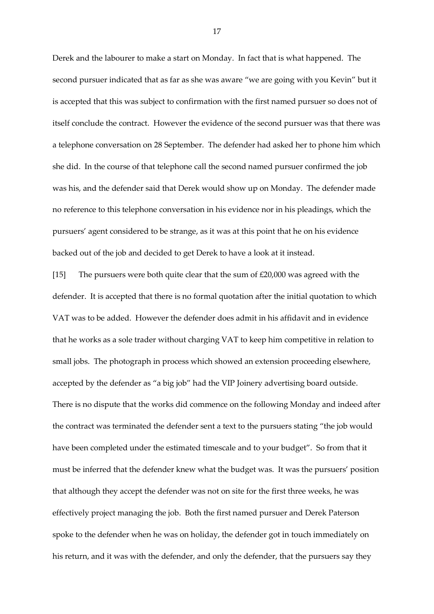Derek and the labourer to make a start on Monday. In fact that is what happened. The second pursuer indicated that as far as she was aware "we are going with you Kevin" but it is accepted that this was subject to confirmation with the first named pursuer so does not of itself conclude the contract. However the evidence of the second pursuer was that there was a telephone conversation on 28 September. The defender had asked her to phone him which she did. In the course of that telephone call the second named pursuer confirmed the job was his, and the defender said that Derek would show up on Monday. The defender made no reference to this telephone conversation in his evidence nor in his pleadings, which the pursuers' agent considered to be strange, as it was at this point that he on his evidence backed out of the job and decided to get Derek to have a look at it instead.

[15] The pursuers were both quite clear that the sum of £20,000 was agreed with the defender. It is accepted that there is no formal quotation after the initial quotation to which VAT was to be added. However the defender does admit in his affidavit and in evidence that he works as a sole trader without charging VAT to keep him competitive in relation to small jobs. The photograph in process which showed an extension proceeding elsewhere, accepted by the defender as "a big job" had the VIP Joinery advertising board outside. There is no dispute that the works did commence on the following Monday and indeed after the contract was terminated the defender sent a text to the pursuers stating "the job would have been completed under the estimated timescale and to your budget". So from that it must be inferred that the defender knew what the budget was. It was the pursuers' position that although they accept the defender was not on site for the first three weeks, he was effectively project managing the job. Both the first named pursuer and Derek Paterson spoke to the defender when he was on holiday, the defender got in touch immediately on his return, and it was with the defender, and only the defender, that the pursuers say they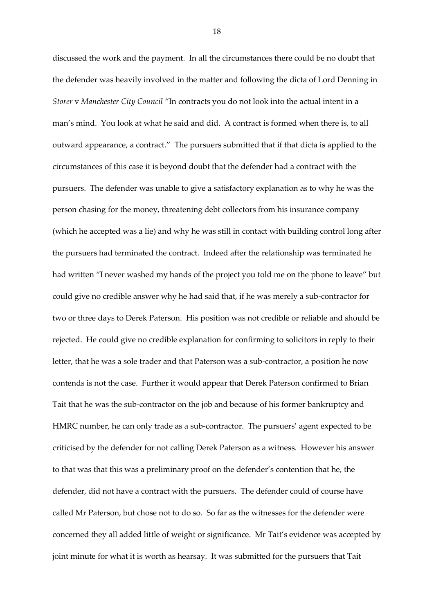discussed the work and the payment. In all the circumstances there could be no doubt that the defender was heavily involved in the matter and following the dicta of Lord Denning in *Storer* v *Manchester City Council* "In contracts you do not look into the actual intent in a man's mind. You look at what he said and did. A contract is formed when there is, to all outward appearance, a contract." The pursuers submitted that if that dicta is applied to the circumstances of this case it is beyond doubt that the defender had a contract with the pursuers. The defender was unable to give a satisfactory explanation as to why he was the person chasing for the money, threatening debt collectors from his insurance company (which he accepted was a lie) and why he was still in contact with building control long after the pursuers had terminated the contract. Indeed after the relationship was terminated he had written "I never washed my hands of the project you told me on the phone to leave" but could give no credible answer why he had said that, if he was merely a sub-contractor for two or three days to Derek Paterson. His position was not credible or reliable and should be rejected. He could give no credible explanation for confirming to solicitors in reply to their letter, that he was a sole trader and that Paterson was a sub-contractor, a position he now contends is not the case. Further it would appear that Derek Paterson confirmed to Brian Tait that he was the sub-contractor on the job and because of his former bankruptcy and HMRC number, he can only trade as a sub-contractor. The pursuers' agent expected to be criticised by the defender for not calling Derek Paterson as a witness. However his answer to that was that this was a preliminary proof on the defender's contention that he, the defender, did not have a contract with the pursuers. The defender could of course have called Mr Paterson, but chose not to do so. So far as the witnesses for the defender were concerned they all added little of weight or significance. Mr Tait's evidence was accepted by joint minute for what it is worth as hearsay. It was submitted for the pursuers that Tait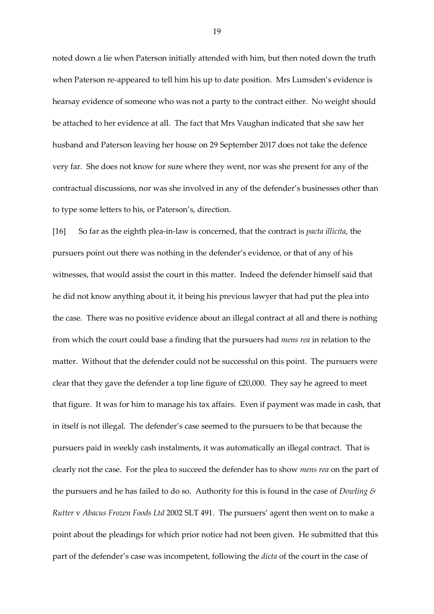noted down a lie when Paterson initially attended with him, but then noted down the truth when Paterson re-appeared to tell him his up to date position. Mrs Lumsden's evidence is hearsay evidence of someone who was not a party to the contract either. No weight should be attached to her evidence at all. The fact that Mrs Vaughan indicated that she saw her husband and Paterson leaving her house on 29 September 2017 does not take the defence very far. She does not know for sure where they went, nor was she present for any of the contractual discussions, nor was she involved in any of the defender's businesses other than to type some letters to his, or Paterson's, direction.

[16] So far as the eighth plea-in-law is concerned, that the contract is *pacta illicita*, the pursuers point out there was nothing in the defender's evidence, or that of any of his witnesses, that would assist the court in this matter. Indeed the defender himself said that he did not know anything about it, it being his previous lawyer that had put the plea into the case. There was no positive evidence about an illegal contract at all and there is nothing from which the court could base a finding that the pursuers had *mens rea* in relation to the matter. Without that the defender could not be successful on this point. The pursuers were clear that they gave the defender a top line figure of £20,000. They say he agreed to meet that figure. It was for him to manage his tax affairs. Even if payment was made in cash, that in itself is not illegal. The defender's case seemed to the pursuers to be that because the pursuers paid in weekly cash instalments, it was automatically an illegal contract. That is clearly not the case. For the plea to succeed the defender has to show *mens rea* on the part of the pursuers and he has failed to do so. Authority for this is found in the case of *Dowling & Rutter* v *Abacus Frozen Foods Ltd* 2002 SLT 491. The pursuers' agent then went on to make a point about the pleadings for which prior notice had not been given. He submitted that this part of the defender's case was incompetent, following the *dicta* of the court in the case of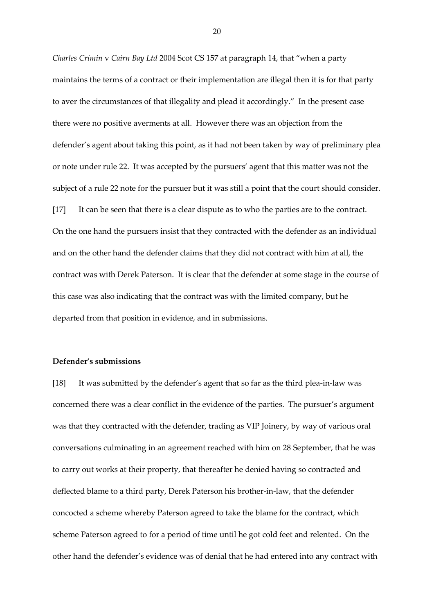*Charles Crimin* v *Cairn Bay Ltd* 2004 Scot CS 157 at paragraph 14, that "when a party maintains the terms of a contract or their implementation are illegal then it is for that party to aver the circumstances of that illegality and plead it accordingly." In the present case there were no positive averments at all. However there was an objection from the defender's agent about taking this point, as it had not been taken by way of preliminary plea or note under rule 22. It was accepted by the pursuers' agent that this matter was not the subject of a rule 22 note for the pursuer but it was still a point that the court should consider. [17] It can be seen that there is a clear dispute as to who the parties are to the contract. On the one hand the pursuers insist that they contracted with the defender as an individual and on the other hand the defender claims that they did not contract with him at all, the contract was with Derek Paterson. It is clear that the defender at some stage in the course of this case was also indicating that the contract was with the limited company, but he departed from that position in evidence, and in submissions.

#### **Defender's submissions**

[18] It was submitted by the defender's agent that so far as the third plea-in-law was concerned there was a clear conflict in the evidence of the parties. The pursuer's argument was that they contracted with the defender, trading as VIP Joinery, by way of various oral conversations culminating in an agreement reached with him on 28 September, that he was to carry out works at their property, that thereafter he denied having so contracted and deflected blame to a third party, Derek Paterson his brother-in-law, that the defender concocted a scheme whereby Paterson agreed to take the blame for the contract, which scheme Paterson agreed to for a period of time until he got cold feet and relented. On the other hand the defender's evidence was of denial that he had entered into any contract with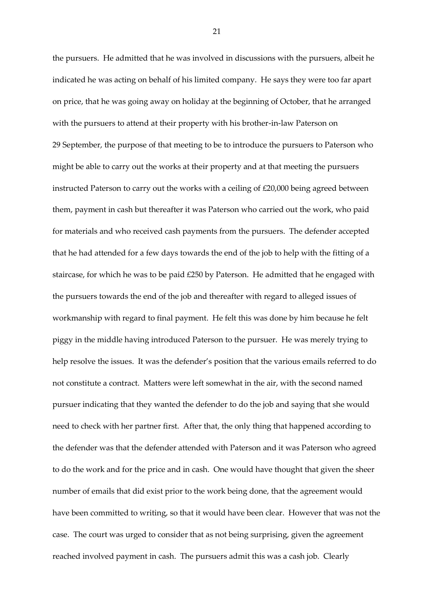the pursuers. He admitted that he was involved in discussions with the pursuers, albeit he indicated he was acting on behalf of his limited company. He says they were too far apart on price, that he was going away on holiday at the beginning of October, that he arranged with the pursuers to attend at their property with his brother-in-law Paterson on 29 September, the purpose of that meeting to be to introduce the pursuers to Paterson who might be able to carry out the works at their property and at that meeting the pursuers instructed Paterson to carry out the works with a ceiling of £20,000 being agreed between them, payment in cash but thereafter it was Paterson who carried out the work, who paid for materials and who received cash payments from the pursuers. The defender accepted that he had attended for a few days towards the end of the job to help with the fitting of a staircase, for which he was to be paid £250 by Paterson. He admitted that he engaged with the pursuers towards the end of the job and thereafter with regard to alleged issues of workmanship with regard to final payment. He felt this was done by him because he felt piggy in the middle having introduced Paterson to the pursuer. He was merely trying to help resolve the issues. It was the defender's position that the various emails referred to do not constitute a contract. Matters were left somewhat in the air, with the second named pursuer indicating that they wanted the defender to do the job and saying that she would need to check with her partner first. After that, the only thing that happened according to the defender was that the defender attended with Paterson and it was Paterson who agreed to do the work and for the price and in cash. One would have thought that given the sheer number of emails that did exist prior to the work being done, that the agreement would have been committed to writing, so that it would have been clear. However that was not the case. The court was urged to consider that as not being surprising, given the agreement reached involved payment in cash. The pursuers admit this was a cash job. Clearly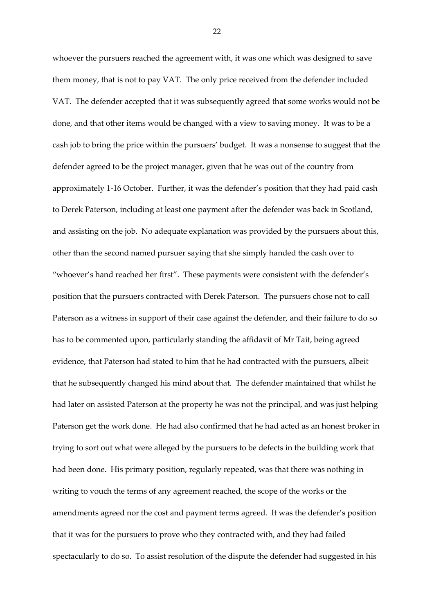whoever the pursuers reached the agreement with, it was one which was designed to save them money, that is not to pay VAT. The only price received from the defender included VAT. The defender accepted that it was subsequently agreed that some works would not be done, and that other items would be changed with a view to saving money. It was to be a cash job to bring the price within the pursuers' budget. It was a nonsense to suggest that the defender agreed to be the project manager, given that he was out of the country from approximately 1-16 October. Further, it was the defender's position that they had paid cash to Derek Paterson, including at least one payment after the defender was back in Scotland, and assisting on the job. No adequate explanation was provided by the pursuers about this, other than the second named pursuer saying that she simply handed the cash over to "whoever's hand reached her first". These payments were consistent with the defender's position that the pursuers contracted with Derek Paterson. The pursuers chose not to call Paterson as a witness in support of their case against the defender, and their failure to do so has to be commented upon, particularly standing the affidavit of Mr Tait, being agreed evidence, that Paterson had stated to him that he had contracted with the pursuers, albeit that he subsequently changed his mind about that. The defender maintained that whilst he had later on assisted Paterson at the property he was not the principal, and was just helping Paterson get the work done. He had also confirmed that he had acted as an honest broker in trying to sort out what were alleged by the pursuers to be defects in the building work that had been done. His primary position, regularly repeated, was that there was nothing in writing to vouch the terms of any agreement reached, the scope of the works or the amendments agreed nor the cost and payment terms agreed. It was the defender's position that it was for the pursuers to prove who they contracted with, and they had failed spectacularly to do so. To assist resolution of the dispute the defender had suggested in his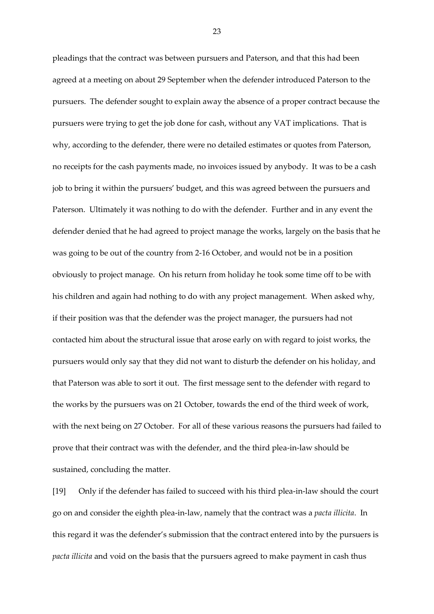pleadings that the contract was between pursuers and Paterson, and that this had been agreed at a meeting on about 29 September when the defender introduced Paterson to the pursuers. The defender sought to explain away the absence of a proper contract because the pursuers were trying to get the job done for cash, without any VAT implications. That is why, according to the defender, there were no detailed estimates or quotes from Paterson, no receipts for the cash payments made, no invoices issued by anybody. It was to be a cash job to bring it within the pursuers' budget, and this was agreed between the pursuers and Paterson. Ultimately it was nothing to do with the defender. Further and in any event the defender denied that he had agreed to project manage the works, largely on the basis that he was going to be out of the country from 2-16 October, and would not be in a position obviously to project manage. On his return from holiday he took some time off to be with his children and again had nothing to do with any project management. When asked why, if their position was that the defender was the project manager, the pursuers had not contacted him about the structural issue that arose early on with regard to joist works, the pursuers would only say that they did not want to disturb the defender on his holiday, and that Paterson was able to sort it out. The first message sent to the defender with regard to the works by the pursuers was on 21 October, towards the end of the third week of work, with the next being on 27 October. For all of these various reasons the pursuers had failed to prove that their contract was with the defender, and the third plea-in-law should be sustained, concluding the matter.

[19] Only if the defender has failed to succeed with his third plea-in-law should the court go on and consider the eighth plea-in-law, namely that the contract was a *pacta illicita*. In this regard it was the defender's submission that the contract entered into by the pursuers is *pacta illicita* and void on the basis that the pursuers agreed to make payment in cash thus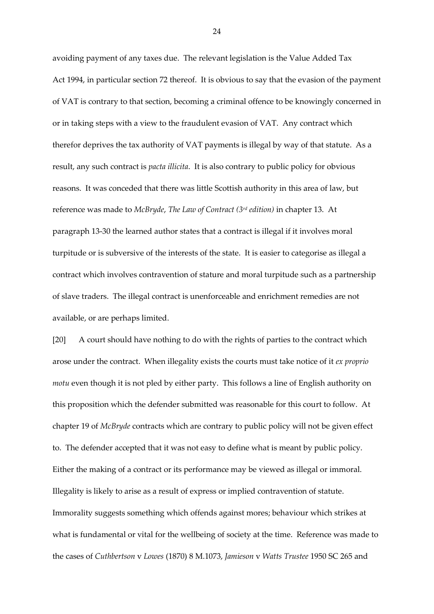avoiding payment of any taxes due. The relevant legislation is the Value Added Tax Act 1994, in particular section 72 thereof. It is obvious to say that the evasion of the payment of VAT is contrary to that section, becoming a criminal offence to be knowingly concerned in or in taking steps with a view to the fraudulent evasion of VAT. Any contract which therefor deprives the tax authority of VAT payments is illegal by way of that statute. As a result, any such contract is *pacta illicita*. It is also contrary to public policy for obvious reasons. It was conceded that there was little Scottish authority in this area of law, but reference was made to *McBryde*, *The Law of Contract (3rd edition)* in chapter 13. At paragraph 13-30 the learned author states that a contract is illegal if it involves moral turpitude or is subversive of the interests of the state. It is easier to categorise as illegal a contract which involves contravention of stature and moral turpitude such as a partnership of slave traders. The illegal contract is unenforceable and enrichment remedies are not available, or are perhaps limited.

[20] A court should have nothing to do with the rights of parties to the contract which arose under the contract. When illegality exists the courts must take notice of it *ex proprio motu* even though it is not pled by either party. This follows a line of English authority on this proposition which the defender submitted was reasonable for this court to follow. At chapter 19 of *McBryde* contracts which are contrary to public policy will not be given effect to. The defender accepted that it was not easy to define what is meant by public policy. Either the making of a contract or its performance may be viewed as illegal or immoral. Illegality is likely to arise as a result of express or implied contravention of statute. Immorality suggests something which offends against mores; behaviour which strikes at what is fundamental or vital for the wellbeing of society at the time. Reference was made to the cases of *Cuthbertson* v *Lowes* (1870) 8 M.1073, *Jamieson* v *Watts Trustee* 1950 SC 265 and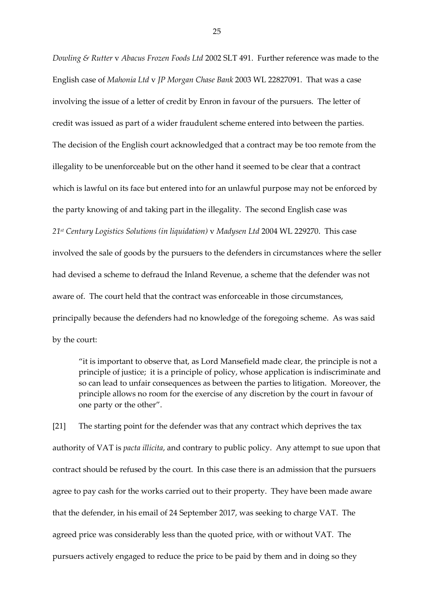*Dowling & Rutter* v *Abacus Frozen Foods Ltd* 2002 SLT 491. Further reference was made to the English case of *Mahonia Ltd* v *JP Morgan Chase Bank* 2003 WL 22827091. That was a case involving the issue of a letter of credit by Enron in favour of the pursuers. The letter of credit was issued as part of a wider fraudulent scheme entered into between the parties. The decision of the English court acknowledged that a contract may be too remote from the illegality to be unenforceable but on the other hand it seemed to be clear that a contract which is lawful on its face but entered into for an unlawful purpose may not be enforced by the party knowing of and taking part in the illegality. The second English case was *21st Century Logistics Solutions (in liquidation)* v *Madysen Ltd* 2004 WL 229270. This case involved the sale of goods by the pursuers to the defenders in circumstances where the seller had devised a scheme to defraud the Inland Revenue, a scheme that the defender was not aware of. The court held that the contract was enforceable in those circumstances, principally because the defenders had no knowledge of the foregoing scheme. As was said by the court:

"it is important to observe that, as Lord Mansefield made clear, the principle is not a principle of justice; it is a principle of policy, whose application is indiscriminate and so can lead to unfair consequences as between the parties to litigation. Moreover, the principle allows no room for the exercise of any discretion by the court in favour of one party or the other".

[21] The starting point for the defender was that any contract which deprives the tax authority of VAT is *pacta illicita*, and contrary to public policy. Any attempt to sue upon that contract should be refused by the court. In this case there is an admission that the pursuers agree to pay cash for the works carried out to their property. They have been made aware that the defender, in his email of 24 September 2017, was seeking to charge VAT. The agreed price was considerably less than the quoted price, with or without VAT. The pursuers actively engaged to reduce the price to be paid by them and in doing so they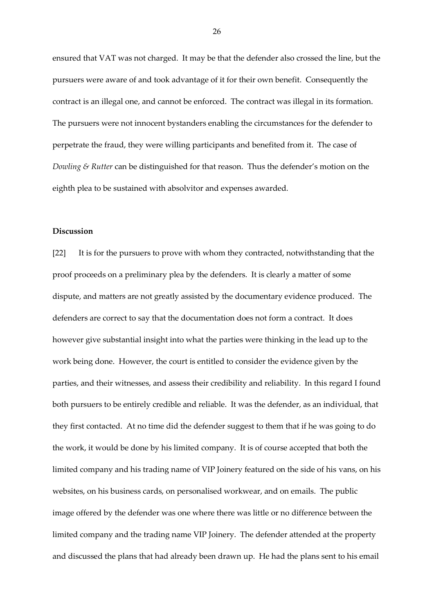ensured that VAT was not charged. It may be that the defender also crossed the line, but the pursuers were aware of and took advantage of it for their own benefit. Consequently the contract is an illegal one, and cannot be enforced. The contract was illegal in its formation. The pursuers were not innocent bystanders enabling the circumstances for the defender to perpetrate the fraud, they were willing participants and benefited from it. The case of *Dowling & Rutter* can be distinguished for that reason. Thus the defender's motion on the eighth plea to be sustained with absolvitor and expenses awarded.

## **Discussion**

[22] It is for the pursuers to prove with whom they contracted, notwithstanding that the proof proceeds on a preliminary plea by the defenders. It is clearly a matter of some dispute, and matters are not greatly assisted by the documentary evidence produced. The defenders are correct to say that the documentation does not form a contract. It does however give substantial insight into what the parties were thinking in the lead up to the work being done. However, the court is entitled to consider the evidence given by the parties, and their witnesses, and assess their credibility and reliability. In this regard I found both pursuers to be entirely credible and reliable. It was the defender, as an individual, that they first contacted. At no time did the defender suggest to them that if he was going to do the work, it would be done by his limited company. It is of course accepted that both the limited company and his trading name of VIP Joinery featured on the side of his vans, on his websites, on his business cards, on personalised workwear, and on emails. The public image offered by the defender was one where there was little or no difference between the limited company and the trading name VIP Joinery. The defender attended at the property and discussed the plans that had already been drawn up. He had the plans sent to his email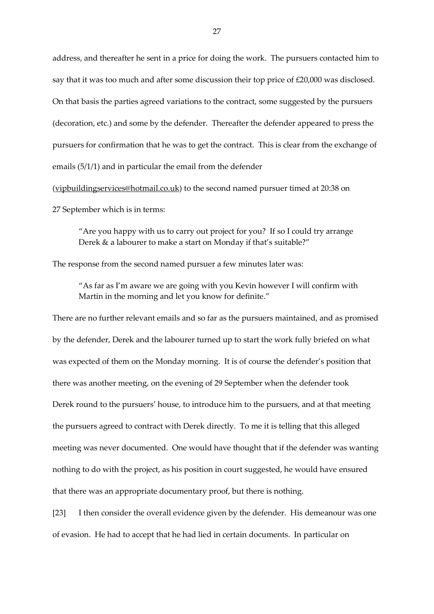address, and thereafter he sent in a price for doing the work. The pursuers contacted him to say that it was too much and after some discussion their top price of £20,000 was disclosed. On that basis the parties agreed variations to the contract, some suggested by the pursuers (decoration, etc.) and some by the defender. Thereafter the defender appeared to press the pursuers for confirmation that he was to get the contract. This is clear from the exchange of emails (5/1/1) and in particular the email from the defender

[\(vipbuildingservices@hotmail.co.uk\)](mailto:vipbuildingservices@hotmail.co.uk) to the second named pursuer timed at 20:38 on 27 September which is in terms:

"Are you happy with us to carry out project for you? If so I could try arrange Derek & a labourer to make a start on Monday if that's suitable?"

The response from the second named pursuer a few minutes later was:

"As far as I'm aware we are going with you Kevin however I will confirm with Martin in the morning and let you know for definite."

There are no further relevant emails and so far as the pursuers maintained, and as promised by the defender, Derek and the labourer turned up to start the work fully briefed on what was expected of them on the Monday morning. It is of course the defender's position that there was another meeting, on the evening of 29 September when the defender took Derek round to the pursuers' house, to introduce him to the pursuers, and at that meeting the pursuers agreed to contract with Derek directly. To me it is telling that this alleged meeting was never documented. One would have thought that if the defender was wanting nothing to do with the project, as his position in court suggested, he would have ensured that there was an appropriate documentary proof, but there is nothing.

[23] I then consider the overall evidence given by the defender. His demeanour was one of evasion. He had to accept that he had lied in certain documents. In particular on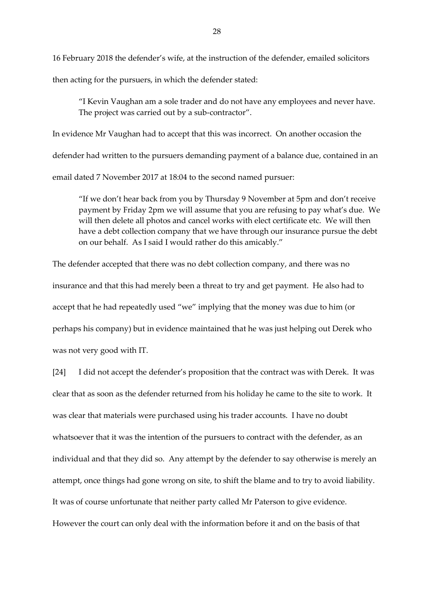16 February 2018 the defender's wife, at the instruction of the defender, emailed solicitors

then acting for the pursuers, in which the defender stated:

"I Kevin Vaughan am a sole trader and do not have any employees and never have. The project was carried out by a sub-contractor".

In evidence Mr Vaughan had to accept that this was incorrect. On another occasion the defender had written to the pursuers demanding payment of a balance due, contained in an email dated 7 November 2017 at 18:04 to the second named pursuer:

"If we don't hear back from you by Thursday 9 November at 5pm and don't receive payment by Friday 2pm we will assume that you are refusing to pay what's due. We will then delete all photos and cancel works with elect certificate etc. We will then have a debt collection company that we have through our insurance pursue the debt on our behalf. As I said I would rather do this amicably."

The defender accepted that there was no debt collection company, and there was no insurance and that this had merely been a threat to try and get payment. He also had to accept that he had repeatedly used "we" implying that the money was due to him (or perhaps his company) but in evidence maintained that he was just helping out Derek who was not very good with IT.

[24] I did not accept the defender's proposition that the contract was with Derek. It was clear that as soon as the defender returned from his holiday he came to the site to work. It was clear that materials were purchased using his trader accounts. I have no doubt whatsoever that it was the intention of the pursuers to contract with the defender, as an individual and that they did so. Any attempt by the defender to say otherwise is merely an attempt, once things had gone wrong on site, to shift the blame and to try to avoid liability. It was of course unfortunate that neither party called Mr Paterson to give evidence. However the court can only deal with the information before it and on the basis of that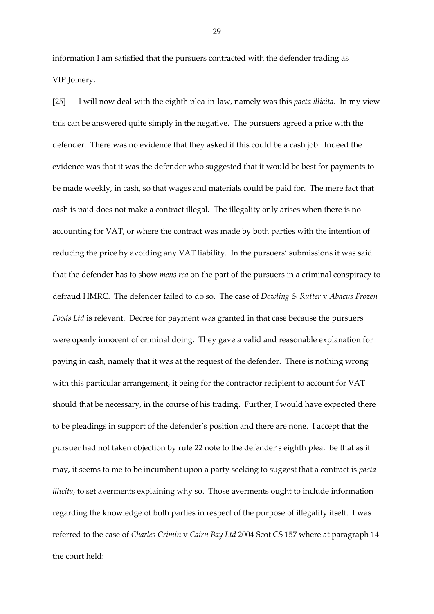information I am satisfied that the pursuers contracted with the defender trading as VIP Joinery.

[25] I will now deal with the eighth plea-in-law, namely was this *pacta illicita*. In my view this can be answered quite simply in the negative. The pursuers agreed a price with the defender. There was no evidence that they asked if this could be a cash job. Indeed the evidence was that it was the defender who suggested that it would be best for payments to be made weekly, in cash, so that wages and materials could be paid for. The mere fact that cash is paid does not make a contract illegal. The illegality only arises when there is no accounting for VAT, or where the contract was made by both parties with the intention of reducing the price by avoiding any VAT liability. In the pursuers' submissions it was said that the defender has to show *mens rea* on the part of the pursuers in a criminal conspiracy to defraud HMRC. The defender failed to do so. The case of *Dowling & Rutter* v *Abacus Frozen Foods Ltd* is relevant. Decree for payment was granted in that case because the pursuers were openly innocent of criminal doing. They gave a valid and reasonable explanation for paying in cash, namely that it was at the request of the defender. There is nothing wrong with this particular arrangement, it being for the contractor recipient to account for VAT should that be necessary, in the course of his trading. Further, I would have expected there to be pleadings in support of the defender's position and there are none. I accept that the pursuer had not taken objection by rule 22 note to the defender's eighth plea. Be that as it may, it seems to me to be incumbent upon a party seeking to suggest that a contract is *pacta illicita*, to set averments explaining why so. Those averments ought to include information regarding the knowledge of both parties in respect of the purpose of illegality itself. I was referred to the case of *Charles Crimin* v *Cairn Bay Ltd* 2004 Scot CS 157 where at paragraph 14 the court held: